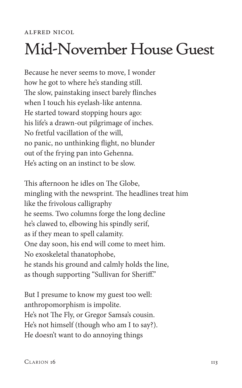## Mid-November House Guest

Because he never seems to move, I wonder how he got to where he's standing still. The slow, painstaking insect barely flinches when I touch his eyelash-like antenna. He started toward stopping hours ago: his life's a drawn-out pilgrimage of inches. No fretful vacillation of the will, no panic, no unthinking flight, no blunder out of the frying pan into Gehenna. He's acting on an instinct to be slow.

This afternoon he idles on The Globe, mingling with the newsprint. The headlines treat him like the frivolous calligraphy he seems. Two columns forge the long decline he's clawed to, elbowing his spindly serif, as if they mean to spell calamity. One day soon, his end will come to meet him. No exoskeletal thanatophobe, he stands his ground and calmly holds the line, as though supporting "Sullivan for Sheriff."

But I presume to know my guest too well: anthropomorphism is impolite. He's not The Fly, or Gregor Samsa's cousin. He's not himself (though who am I to say?). He doesn't want to do annoying things